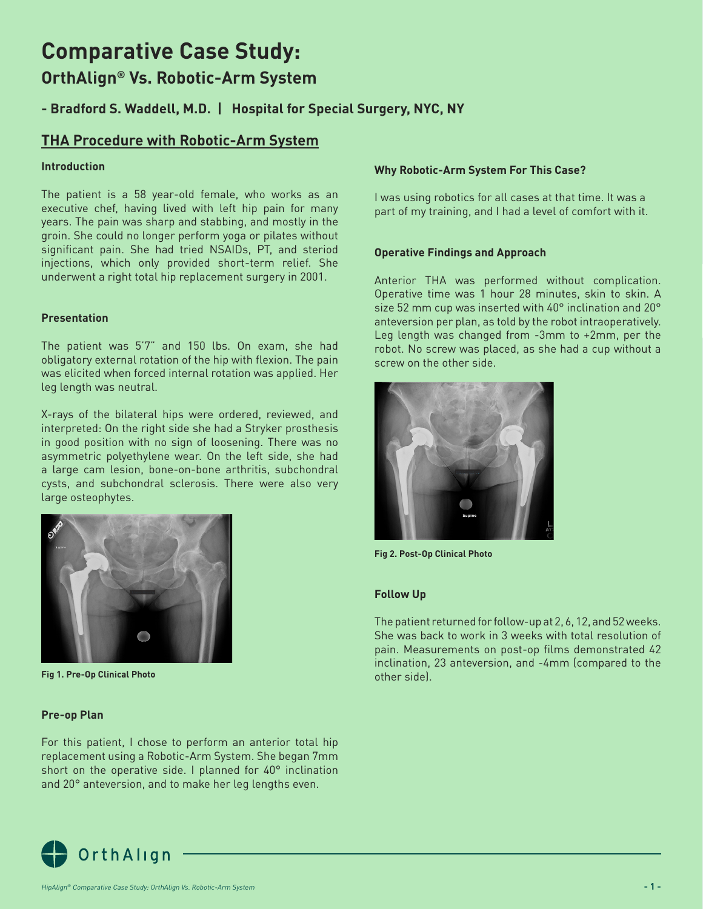# **Comparative Case Study:**

# **OrthAlign® Vs. Robotic-Arm System**

### **- Bradford S. Waddell, M.D. | Hospital for Special Surgery, NYC, NY**

### **THA Procedure with Robotic-Arm System**

### **Introduction**

The patient is a 58 year-old female, who works as an executive chef, having lived with left hip pain for many years. The pain was sharp and stabbing, and mostly in the groin. She could no longer perform yoga or pilates without significant pain. She had tried NSAIDs, PT, and steriod injections, which only provided short-term relief. She underwent a right total hip replacement surgery in 2001.

### **Presentation**

The patient was 5'7" and 150 lbs. On exam, she had obligatory external rotation of the hip with flexion. The pain was elicited when forced internal rotation was applied. Her leg length was neutral.

X-rays of the bilateral hips were ordered, reviewed, and interpreted: On the right side she had a Stryker prosthesis in good position with no sign of loosening. There was no asymmetric polyethylene wear. On the left side, she had a large cam lesion, bone-on-bone arthritis, subchondral cysts, and subchondral sclerosis. There were also very large osteophytes.



**Fig 1. Pre-Op Clinical Photo**

### **Pre-op Plan**

For this patient, I chose to perform an anterior total hip replacement using a Robotic-Arm System. She began 7mm short on the operative side. I planned for 40° inclination and 20° anteversion, and to make her leg lengths even.

### **Why Robotic-Arm System For This Case?**

I was using robotics for all cases at that time. It was a part of my training, and I had a level of comfort with it.

### **Operative Findings and Approach**

Anterior THA was performed without complication. Operative time was 1 hour 28 minutes, skin to skin. A size 52 mm cup was inserted with 40° inclination and 20° anteversion per plan, as told by the robot intraoperatively. Leg length was changed from -3mm to +2mm, per the robot. No screw was placed, as she had a cup without a screw on the other side.



**Fig 2. Post-Op Clinical Photo**

### **Follow Up**

The patient returned for follow-up at 2, 6, 12, and 52 weeks. She was back to work in 3 weeks with total resolution of pain. Measurements on post-op films demonstrated 42 inclination, 23 anteversion, and -4mm (compared to the other side).

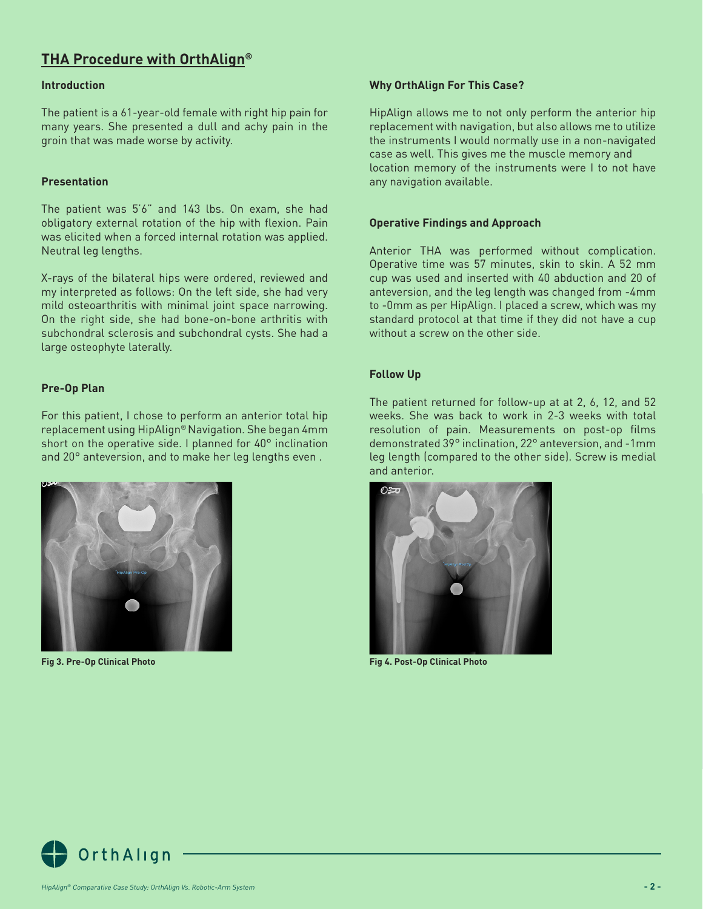## **THA Procedure with OrthAlign®**

### **Introduction**

The patient is a 61-year-old female with right hip pain for many years. She presented a dull and achy pain in the groin that was made worse by activity.

### **Presentation**

The patient was 5'6" and 143 lbs. On exam, she had obligatory external rotation of the hip with flexion. Pain was elicited when a forced internal rotation was applied. Neutral leg lengths.

X-rays of the bilateral hips were ordered, reviewed and my interpreted as follows: On the left side, she had very mild osteoarthritis with minimal joint space narrowing. On the right side, she had bone-on-bone arthritis with subchondral sclerosis and subchondral cysts. She had a large osteophyte laterally.

### **Pre-Op Plan**

For this patient, I chose to perform an anterior total hip replacement using HipAlign® Navigation. She began 4mm short on the operative side. I planned for 40° inclination and 20° anteversion, and to make her leg lengths even .



**Fig 3. Pre-Op Clinical Photo**

### **Why OrthAlign For This Case?**

HipAlign allows me to not only perform the anterior hip replacement with navigation, but also allows me to utilize the instruments I would normally use in a non-navigated case as well. This gives me the muscle memory and location memory of the instruments were I to not have any navigation available.

### **Operative Findings and Approach**

Anterior THA was performed without complication. Operative time was 57 minutes, skin to skin. A 52 mm cup was used and inserted with 40 abduction and 20 of anteversion, and the leg length was changed from -4mm to -0mm as per HipAlign. I placed a screw, which was my standard protocol at that time if they did not have a cup without a screw on the other side.

### **Follow Up**

The patient returned for follow-up at at 2, 6, 12, and 52 weeks. She was back to work in 2-3 weeks with total resolution of pain. Measurements on post-op films demonstrated 39° inclination, 22° anteversion, and -1mm leg length (compared to the other side). Screw is medial and anterior.



**Fig 4. Post-Op Clinical Photo**